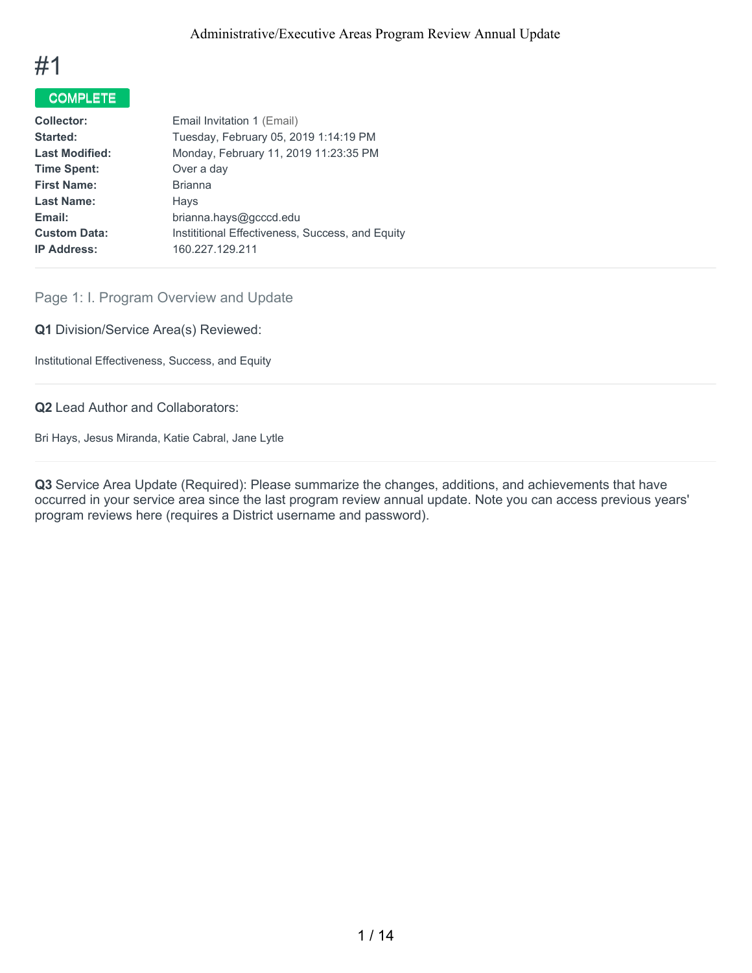

# COMPLETE

| <b>Collector:</b>     | Email Invitation 1 (Email)                       |
|-----------------------|--------------------------------------------------|
| Started:              | Tuesday, February 05, 2019 1:14:19 PM            |
| <b>Last Modified:</b> | Monday, February 11, 2019 11:23:35 PM            |
| <b>Time Spent:</b>    | Over a day                                       |
| <b>First Name:</b>    | <b>Brianna</b>                                   |
| <b>Last Name:</b>     | Hays                                             |
| Email:                | brianna.hays@gcccd.edu                           |
| <b>Custom Data:</b>   | Instititional Effectiveness, Success, and Equity |
| <b>IP Address:</b>    | 160.227.129.211                                  |
|                       |                                                  |

# Page 1: I. Program Overview and Update

**Q1** Division/Service Area(s) Reviewed:

Institutional Effectiveness, Success, and Equity

**Q2** Lead Author and Collaborators:

Bri Hays, Jesus Miranda, Katie Cabral, Jane Lytle

**Q3** Service Area Update (Required): Please summarize the changes, additions, and achievements that have occurred in your service area since the last program review annual update. Note you can access previous years' program reviews here (requires a District username and password).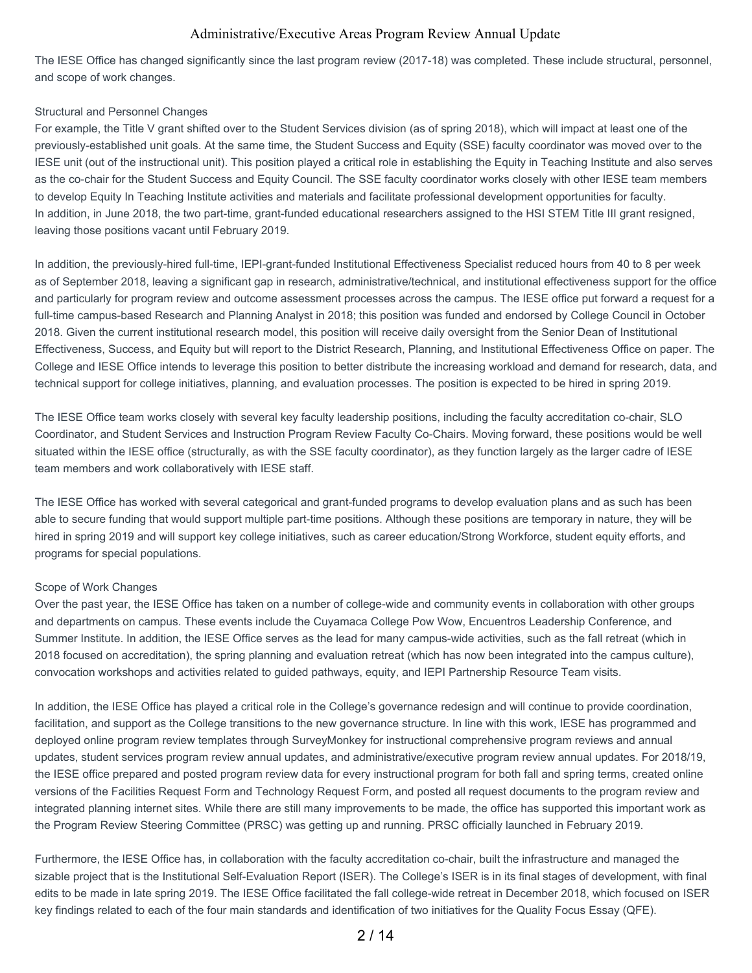The IESE Office has changed significantly since the last program review (2017-18) was completed. These include structural, personnel, and scope of work changes.

#### Structural and Personnel Changes

For example, the Title V grant shifted over to the Student Services division (as of spring 2018), which will impact at least one of the previously-established unit goals. At the same time, the Student Success and Equity (SSE) faculty coordinator was moved over to the IESE unit (out of the instructional unit). This position played a critical role in establishing the Equity in Teaching Institute and also serves as the co-chair for the Student Success and Equity Council. The SSE faculty coordinator works closely with other IESE team members to develop Equity In Teaching Institute activities and materials and facilitate professional development opportunities for faculty. In addition, in June 2018, the two part-time, grant-funded educational researchers assigned to the HSI STEM Title III grant resigned, leaving those positions vacant until February 2019.

In addition, the previously-hired full-time, IEPI-grant-funded Institutional Effectiveness Specialist reduced hours from 40 to 8 per week as of September 2018, leaving a significant gap in research, administrative/technical, and institutional effectiveness support for the office and particularly for program review and outcome assessment processes across the campus. The IESE office put forward a request for a full-time campus-based Research and Planning Analyst in 2018; this position was funded and endorsed by College Council in October 2018. Given the current institutional research model, this position will receive daily oversight from the Senior Dean of Institutional Effectiveness, Success, and Equity but will report to the District Research, Planning, and Institutional Effectiveness Office on paper. The College and IESE Office intends to leverage this position to better distribute the increasing workload and demand for research, data, and technical support for college initiatives, planning, and evaluation processes. The position is expected to be hired in spring 2019.

The IESE Office team works closely with several key faculty leadership positions, including the faculty accreditation co-chair, SLO Coordinator, and Student Services and Instruction Program Review Faculty Co-Chairs. Moving forward, these positions would be well situated within the IESE office (structurally, as with the SSE faculty coordinator), as they function largely as the larger cadre of IESE team members and work collaboratively with IESE staff.

The IESE Office has worked with several categorical and grant-funded programs to develop evaluation plans and as such has been able to secure funding that would support multiple part-time positions. Although these positions are temporary in nature, they will be hired in spring 2019 and will support key college initiatives, such as career education/Strong Workforce, student equity efforts, and programs for special populations.

#### Scope of Work Changes

Over the past year, the IESE Office has taken on a number of college-wide and community events in collaboration with other groups and departments on campus. These events include the Cuyamaca College Pow Wow, Encuentros Leadership Conference, and Summer Institute. In addition, the IESE Office serves as the lead for many campus-wide activities, such as the fall retreat (which in 2018 focused on accreditation), the spring planning and evaluation retreat (which has now been integrated into the campus culture), convocation workshops and activities related to guided pathways, equity, and IEPI Partnership Resource Team visits.

In addition, the IESE Office has played a critical role in the College's governance redesign and will continue to provide coordination, facilitation, and support as the College transitions to the new governance structure. In line with this work, IESE has programmed and deployed online program review templates through SurveyMonkey for instructional comprehensive program reviews and annual updates, student services program review annual updates, and administrative/executive program review annual updates. For 2018/19, the IESE office prepared and posted program review data for every instructional program for both fall and spring terms, created online versions of the Facilities Request Form and Technology Request Form, and posted all request documents to the program review and integrated planning internet sites. While there are still many improvements to be made, the office has supported this important work as the Program Review Steering Committee (PRSC) was getting up and running. PRSC officially launched in February 2019.

Furthermore, the IESE Office has, in collaboration with the faculty accreditation co-chair, built the infrastructure and managed the sizable project that is the Institutional Self-Evaluation Report (ISER). The College's ISER is in its final stages of development, with final edits to be made in late spring 2019. The IESE Office facilitated the fall college-wide retreat in December 2018, which focused on ISER key findings related to each of the four main standards and identification of two initiatives for the Quality Focus Essay (QFE).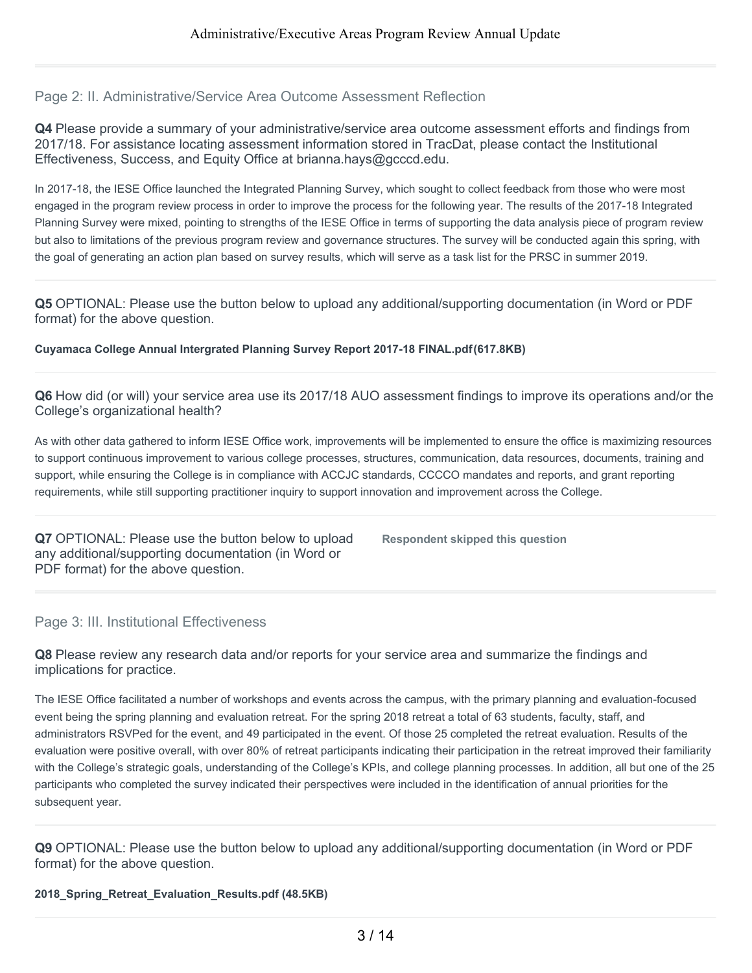#### Page 2: II. Administrative/Service Area Outcome Assessment Reflection

**Q4** Please provide a summary of your administrative/service area outcome assessment efforts and findings from 2017/18. For assistance locating assessment information stored in TracDat, please contact the Institutional Effectiveness, Success, and Equity Office at brianna.hays@gcccd.edu.

In 2017-18, the IESE Office launched the Integrated Planning Survey, which sought to collect feedback from those who were most engaged in the program review process in order to improve the process for the following year. The results of the 2017-18 Integrated Planning Survey were mixed, pointing to strengths of the IESE Office in terms of supporting the data analysis piece of program review but also to limitations of the previous program review and governance structures. The survey will be conducted again this spring, with the goal of generating an action plan based on survey results, which will serve as a task list for the PRSC in summer 2019.

**Q5** OPTIONAL: Please use the button below to upload any additional/supporting documentation (in Word or PDF format) for the above question.

**Cuyamaca College Annual Intergrated Planning Survey Report 2017-18 FINAL.pdf(617.8KB)**

**Q6** How did (or will) your service area use its 2017/18 AUO assessment findings to improve its operations and/or the College's organizational health?

As with other data gathered to inform IESE Office work, improvements will be implemented to ensure the office is maximizing resources to support continuous improvement to various college processes, structures, communication, data resources, documents, training and support, while ensuring the College is in compliance with ACCJC standards, CCCCO mandates and reports, and grant reporting requirements, while still supporting practitioner inquiry to support innovation and improvement across the College.

**Q7** OPTIONAL: Please use the button below to upload any additional/supporting documentation (in Word or PDF format) for the above question.

**Respondent skipped this question**

Page 3: III. Institutional Effectiveness

**Q8** Please review any research data and/or reports for your service area and summarize the findings and implications for practice.

The IESE Office facilitated a number of workshops and events across the campus, with the primary planning and evaluation-focused event being the spring planning and evaluation retreat. For the spring 2018 retreat a total of 63 students, faculty, staff, and administrators RSVPed for the event, and 49 participated in the event. Of those 25 completed the retreat evaluation. Results of the evaluation were positive overall, with over 80% of retreat participants indicating their participation in the retreat improved their familiarity with the College's strategic goals, understanding of the College's KPIs, and college planning processes. In addition, all but one of the 25 participants who completed the survey indicated their perspectives were included in the identification of annual priorities for the subsequent year.

**Q9** OPTIONAL: Please use the button below to upload any additional/supporting documentation (in Word or PDF format) for the above question.

**2018\_Spring\_Retreat\_Evaluation\_Results.pdf (48.5KB)**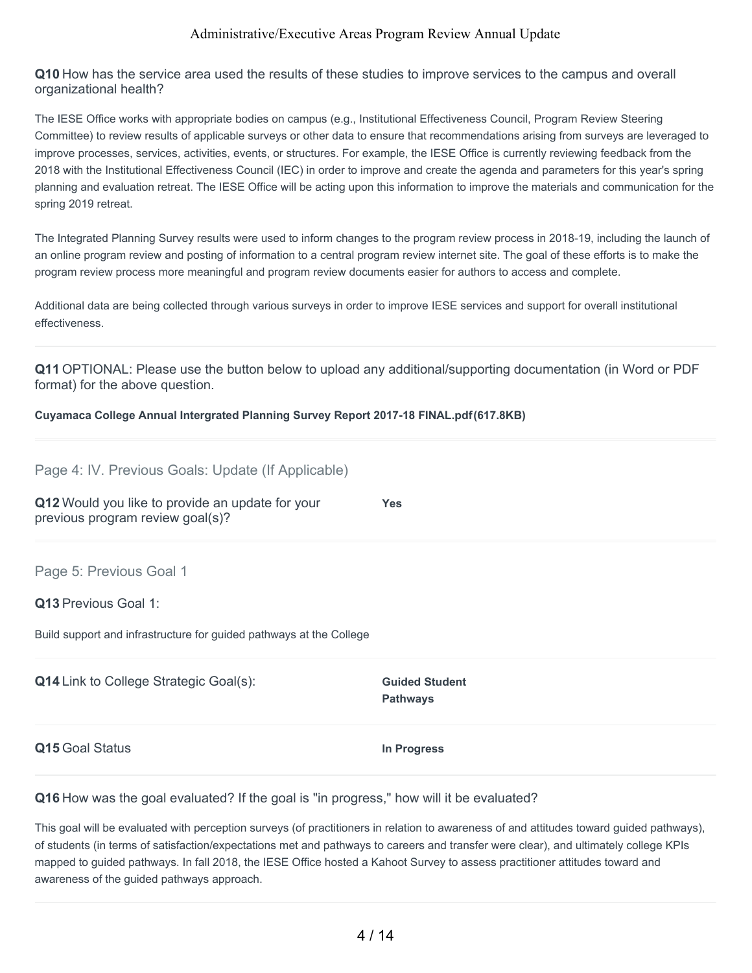**Q10** How has the service area used the results of these studies to improve services to the campus and overall organizational health?

The IESE Office works with appropriate bodies on campus (e.g., Institutional Effectiveness Council, Program Review Steering Committee) to review results of applicable surveys or other data to ensure that recommendations arising from surveys are leveraged to improve processes, services, activities, events, or structures. For example, the IESE Office is currently reviewing feedback from the 2018 with the Institutional Effectiveness Council (IEC) in order to improve and create the agenda and parameters for this year's spring planning and evaluation retreat. The IESE Office will be acting upon this information to improve the materials and communication for the spring 2019 retreat.

The Integrated Planning Survey results were used to inform changes to the program review process in 2018-19, including the launch of an online program review and posting of information to a central program review internet site. The goal of these efforts is to make the program review process more meaningful and program review documents easier for authors to access and complete.

Additional data are being collected through various surveys in order to improve IESE services and support for overall institutional effectiveness.

**Q11** OPTIONAL: Please use the button below to upload any additional/supporting documentation (in Word or PDF format) for the above question.

#### **Cuyamaca College Annual Intergrated Planning Survey Report 2017-18 FINAL.pdf(617.8KB)**

| Page 4: IV. Previous Goals: Update (If Applicable)                                   |                                          |
|--------------------------------------------------------------------------------------|------------------------------------------|
| Q12 Would you like to provide an update for your<br>previous program review goal(s)? | <b>Yes</b>                               |
| Page 5: Previous Goal 1                                                              |                                          |
| <b>Q13 Previous Goal 1:</b>                                                          |                                          |
| Build support and infrastructure for guided pathways at the College                  |                                          |
| <b>Q14</b> Link to College Strategic Goal(s):                                        | <b>Guided Student</b><br><b>Pathways</b> |
| Q15 Goal Status                                                                      | In Progress                              |

**Q16** How was the goal evaluated? If the goal is "in progress," how will it be evaluated?

This goal will be evaluated with perception surveys (of practitioners in relation to awareness of and attitudes toward guided pathways), of students (in terms of satisfaction/expectations met and pathways to careers and transfer were clear), and ultimately college KPIs mapped to guided pathways. In fall 2018, the IESE Office hosted a Kahoot Survey to assess practitioner attitudes toward and awareness of the guided pathways approach.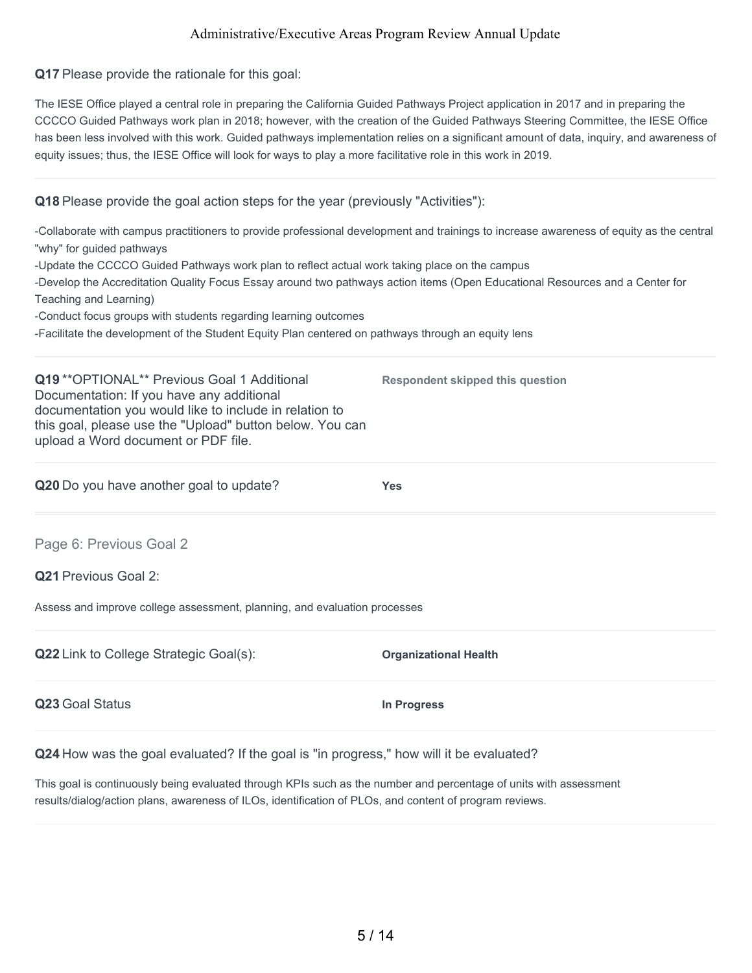**Q17** Please provide the rationale for this goal:

The IESE Office played a central role in preparing the California Guided Pathways Project application in 2017 and in preparing the CCCCO Guided Pathways work plan in 2018; however, with the creation of the Guided Pathways Steering Committee, the IESE Office has been less involved with this work. Guided pathways implementation relies on a significant amount of data, inquiry, and awareness of equity issues; thus, the IESE Office will look for ways to play a more facilitative role in this work in 2019.

## **Q18** Please provide the goal action steps for the year (previously "Activities"):

| -Collaborate with campus practitioners to provide professional development and trainings to increase awareness of equity as the central<br>"why" for guided pathways  |                              |
|-----------------------------------------------------------------------------------------------------------------------------------------------------------------------|------------------------------|
| -Update the CCCCO Guided Pathways work plan to reflect actual work taking place on the campus                                                                         |                              |
| -Develop the Accreditation Quality Focus Essay around two pathways action items (Open Educational Resources and a Center for                                          |                              |
| Teaching and Learning)                                                                                                                                                |                              |
| -Conduct focus groups with students regarding learning outcomes<br>-Facilitate the development of the Student Equity Plan centered on pathways through an equity lens |                              |
|                                                                                                                                                                       |                              |
| Q20 Do you have another goal to update?                                                                                                                               | <b>Yes</b>                   |
| Page 6: Previous Goal 2                                                                                                                                               |                              |
| <b>Q21 Previous Goal 2:</b>                                                                                                                                           |                              |
| Assess and improve college assessment, planning, and evaluation processes                                                                                             |                              |
| Q22 Link to College Strategic Goal(s):                                                                                                                                | <b>Organizational Health</b> |
| Q23 Goal Status                                                                                                                                                       | In Progress                  |
|                                                                                                                                                                       |                              |

**Q24** How was the goal evaluated? If the goal is "in progress," how will it be evaluated?

This goal is continuously being evaluated through KPIs such as the number and percentage of units with assessment results/dialog/action plans, awareness of ILOs, identification of PLOs, and content of program reviews.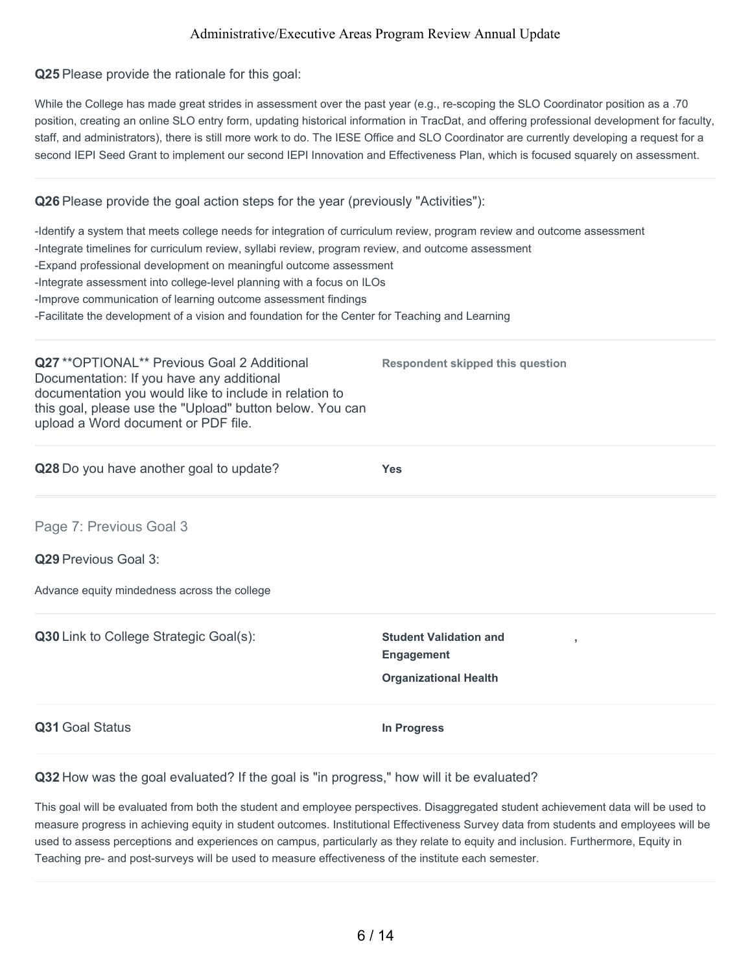**Q25** Please provide the rationale for this goal:

While the College has made great strides in assessment over the past year (e.g., re-scoping the SLO Coordinator position as a .70 position, creating an online SLO entry form, updating historical information in TracDat, and offering professional development for faculty, staff, and administrators), there is still more work to do. The IESE Office and SLO Coordinator are currently developing a request for a second IEPI Seed Grant to implement our second IEPI Innovation and Effectiveness Plan, which is focused squarely on assessment.

#### **Q26** Please provide the goal action steps for the year (previously "Activities"):

-Identify a system that meets college needs for integration of curriculum review, program review and outcome assessment -Integrate timelines for curriculum review, syllabi review, program review, and outcome assessment -Expand professional development on meaningful outcome assessment -Integrate assessment into college-level planning with a focus on ILOs -Improve communication of learning outcome assessment findings -Facilitate the development of a vision and foundation for the Center for Teaching and Learning

**Q27** \*\*OPTIONAL\*\* Previous Goal 2 Additional Documentation: If you have any additional documentation you would like to include in relation to this goal, please use the "Upload" button below. You can upload a Word document or PDF file.

**Q28** Do you have another goal to update? **Yes**

**Respondent skipped this question**

Page 7: Previous Goal 3

**Q29** Previous Goal 3:

Advance equity mindedness across the college

**Q30** Link to College Strategic Goal(s): **Student Validation and Engagement , Organizational Health Q31** Goal Status **In Progress**

**Q32** How was the goal evaluated? If the goal is "in progress," how will it be evaluated?

This goal will be evaluated from both the student and employee perspectives. Disaggregated student achievement data will be used to measure progress in achieving equity in student outcomes. Institutional Effectiveness Survey data from students and employees will be used to assess perceptions and experiences on campus, particularly as they relate to equity and inclusion. Furthermore, Equity in Teaching pre- and post-surveys will be used to measure effectiveness of the institute each semester.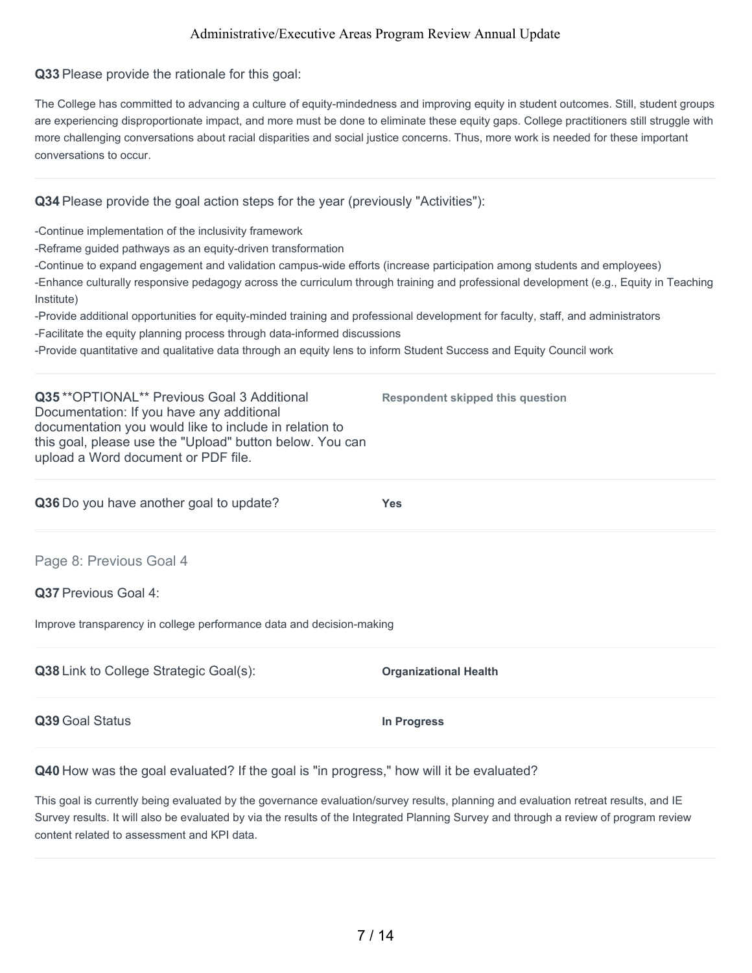**Q33** Please provide the rationale for this goal:

The College has committed to advancing a culture of equity-mindedness and improving equity in student outcomes. Still, student groups are experiencing disproportionate impact, and more must be done to eliminate these equity gaps. College practitioners still struggle with more challenging conversations about racial disparities and social justice concerns. Thus, more work is needed for these important conversations to occur.

#### **Q34** Please provide the goal action steps for the year (previously "Activities"):

-Continue implementation of the inclusivity framework

-Reframe guided pathways as an equity-driven transformation

-Continue to expand engagement and validation campus-wide efforts (increase participation among students and employees)

-Enhance culturally responsive pedagogy across the curriculum through training and professional development (e.g., Equity in Teaching Institute)

**Respondent skipped this question**

-Provide additional opportunities for equity-minded training and professional development for faculty, staff, and administrators -Facilitate the equity planning process through data-informed discussions

-Provide quantitative and qualitative data through an equity lens to inform Student Success and Equity Council work

**Q35** \*\*OPTIONAL\*\* Previous Goal 3 Additional Documentation: If you have any additional documentation you would like to include in relation to this goal, please use the "Upload" button below. You can upload a Word document or PDF file.

**Q36** Do you have another goal to update? **Yes**

Page 8: Previous Goal 4

**Q37** Previous Goal 4:

Improve transparency in college performance data and decision-making

| Q38 Link to College Strategic Goal(s): | <b>Organizational Health</b> |
|----------------------------------------|------------------------------|
| Q39 Goal Status                        | In Progress                  |

**Q40** How was the goal evaluated? If the goal is "in progress," how will it be evaluated?

This goal is currently being evaluated by the governance evaluation/survey results, planning and evaluation retreat results, and IE Survey results. It will also be evaluated by via the results of the Integrated Planning Survey and through a review of program review content related to assessment and KPI data.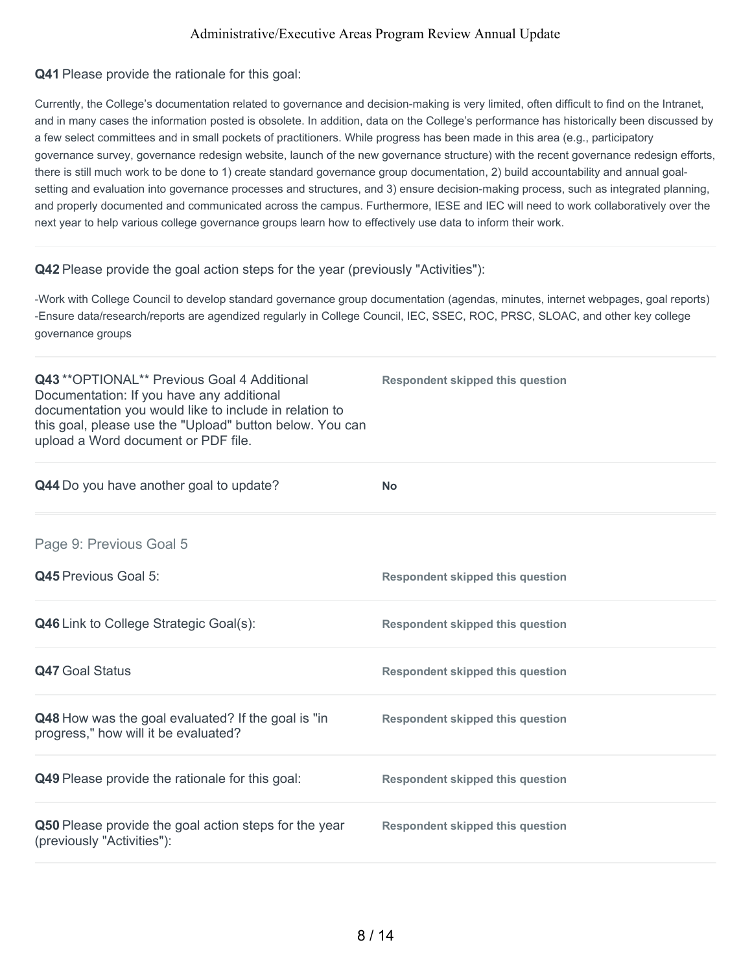#### **Q41** Please provide the rationale for this goal:

Currently, the College's documentation related to governance and decision-making is very limited, often difficult to find on the Intranet, and in many cases the information posted is obsolete. In addition, data on the College's performance has historically been discussed by a few select committees and in small pockets of practitioners. While progress has been made in this area (e.g., participatory governance survey, governance redesign website, launch of the new governance structure) with the recent governance redesign efforts, there is still much work to be done to 1) create standard governance group documentation, 2) build accountability and annual goalsetting and evaluation into governance processes and structures, and 3) ensure decision-making process, such as integrated planning, and properly documented and communicated across the campus. Furthermore, IESE and IEC will need to work collaboratively over the next year to help various college governance groups learn how to effectively use data to inform their work.

#### **Q42** Please provide the goal action steps for the year (previously "Activities"):

-Work with College Council to develop standard governance group documentation (agendas, minutes, internet webpages, goal reports) -Ensure data/research/reports are agendized regularly in College Council, IEC, SSEC, ROC, PRSC, SLOAC, and other key college governance groups

| Q43 ** OPTIONAL** Previous Goal 4 Additional<br>Documentation: If you have any additional<br>documentation you would like to include in relation to<br>this goal, please use the "Upload" button below. You can<br>upload a Word document or PDF file. | <b>Respondent skipped this question</b> |
|--------------------------------------------------------------------------------------------------------------------------------------------------------------------------------------------------------------------------------------------------------|-----------------------------------------|
| Q44 Do you have another goal to update?                                                                                                                                                                                                                | <b>No</b>                               |
| Page 9: Previous Goal 5                                                                                                                                                                                                                                |                                         |
| <b>Q45</b> Previous Goal 5:                                                                                                                                                                                                                            | <b>Respondent skipped this question</b> |
| <b>Q46</b> Link to College Strategic Goal(s):                                                                                                                                                                                                          | <b>Respondent skipped this question</b> |
| <b>Q47 Goal Status</b>                                                                                                                                                                                                                                 | <b>Respondent skipped this question</b> |
| Q48 How was the goal evaluated? If the goal is "in<br>progress," how will it be evaluated?                                                                                                                                                             | <b>Respondent skipped this question</b> |
| Q49 Please provide the rationale for this goal:                                                                                                                                                                                                        | <b>Respondent skipped this question</b> |
| Q50 Please provide the goal action steps for the year<br>(previously "Activities"):                                                                                                                                                                    | <b>Respondent skipped this question</b> |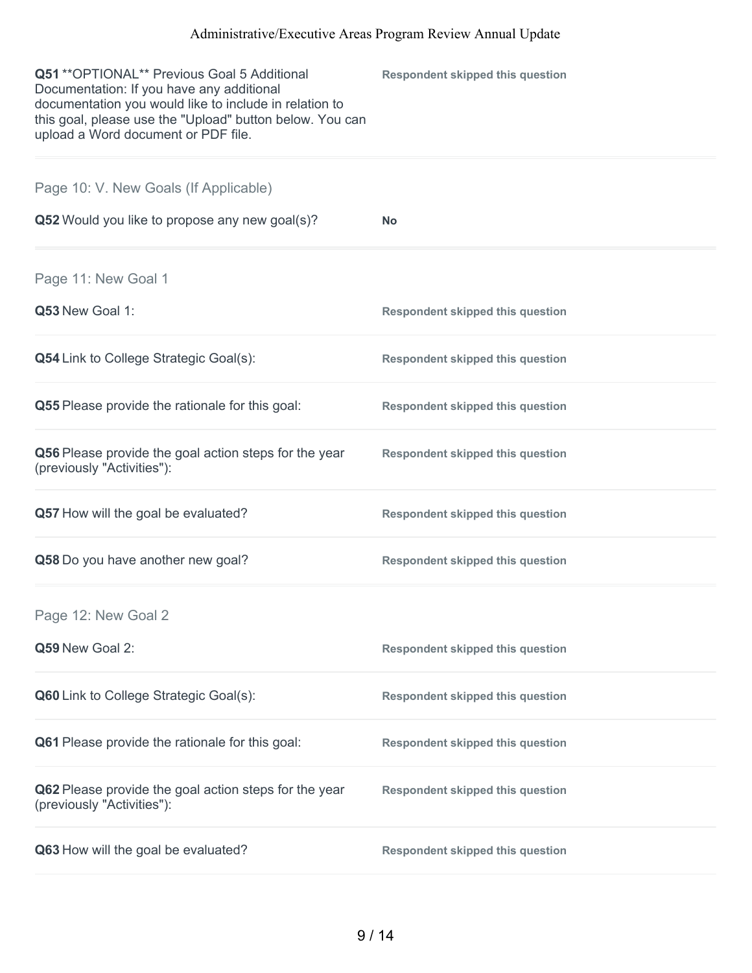| Q51 ** OPTIONAL** Previous Goal 5 Additional<br>Documentation: If you have any additional<br>documentation you would like to include in relation to<br>this goal, please use the "Upload" button below. You can<br>upload a Word document or PDF file. | <b>Respondent skipped this question</b> |
|--------------------------------------------------------------------------------------------------------------------------------------------------------------------------------------------------------------------------------------------------------|-----------------------------------------|
| Page 10: V. New Goals (If Applicable)                                                                                                                                                                                                                  |                                         |
| Q52 Would you like to propose any new goal(s)?                                                                                                                                                                                                         | <b>No</b>                               |
| Page 11: New Goal 1                                                                                                                                                                                                                                    |                                         |
| Q53 New Goal 1:                                                                                                                                                                                                                                        | <b>Respondent skipped this question</b> |
| <b>Q54</b> Link to College Strategic Goal(s):                                                                                                                                                                                                          | <b>Respondent skipped this question</b> |
| <b>Q55</b> Please provide the rationale for this goal:                                                                                                                                                                                                 | <b>Respondent skipped this question</b> |
| Q56 Please provide the goal action steps for the year<br>(previously "Activities"):                                                                                                                                                                    | <b>Respondent skipped this question</b> |
| Q57 How will the goal be evaluated?                                                                                                                                                                                                                    | <b>Respondent skipped this question</b> |
| Q58 Do you have another new goal?                                                                                                                                                                                                                      | <b>Respondent skipped this question</b> |
| Page 12: New Goal 2                                                                                                                                                                                                                                    |                                         |
| Q59 New Goal 2:                                                                                                                                                                                                                                        | <b>Respondent skipped this question</b> |
| Q60 Link to College Strategic Goal(s):                                                                                                                                                                                                                 | <b>Respondent skipped this question</b> |
| Q61 Please provide the rationale for this goal:                                                                                                                                                                                                        | <b>Respondent skipped this question</b> |
| Q62 Please provide the goal action steps for the year<br>(previously "Activities"):                                                                                                                                                                    | <b>Respondent skipped this question</b> |
| Q63 How will the goal be evaluated?                                                                                                                                                                                                                    | <b>Respondent skipped this question</b> |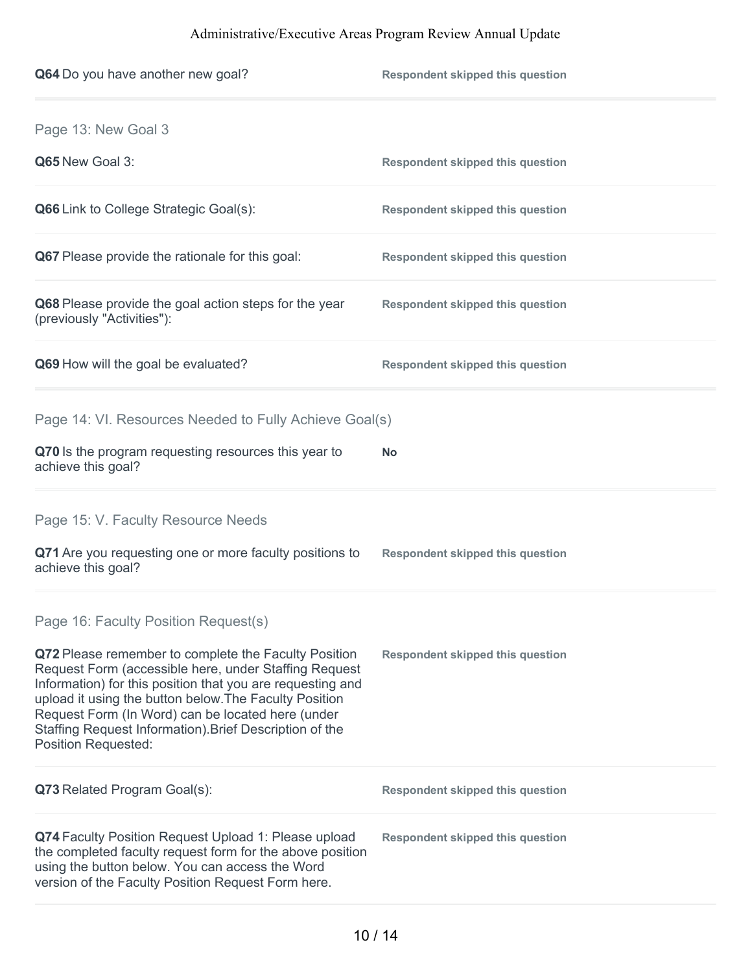| Q64 Do you have another new goal?                                                                                                                                                                                                                                                                                                                                                   | <b>Respondent skipped this question</b> |
|-------------------------------------------------------------------------------------------------------------------------------------------------------------------------------------------------------------------------------------------------------------------------------------------------------------------------------------------------------------------------------------|-----------------------------------------|
| Page 13: New Goal 3                                                                                                                                                                                                                                                                                                                                                                 |                                         |
| Q65 New Goal 3:                                                                                                                                                                                                                                                                                                                                                                     | <b>Respondent skipped this question</b> |
| <b>Q66</b> Link to College Strategic Goal(s):                                                                                                                                                                                                                                                                                                                                       | <b>Respondent skipped this question</b> |
| Q67 Please provide the rationale for this goal:                                                                                                                                                                                                                                                                                                                                     | <b>Respondent skipped this question</b> |
| Q68 Please provide the goal action steps for the year<br>(previously "Activities"):                                                                                                                                                                                                                                                                                                 | <b>Respondent skipped this question</b> |
| Q69 How will the goal be evaluated?                                                                                                                                                                                                                                                                                                                                                 | <b>Respondent skipped this question</b> |
| Page 14: VI. Resources Needed to Fully Achieve Goal(s)                                                                                                                                                                                                                                                                                                                              |                                         |
| Q70 Is the program requesting resources this year to<br>achieve this goal?                                                                                                                                                                                                                                                                                                          | No                                      |
| Page 15: V. Faculty Resource Needs                                                                                                                                                                                                                                                                                                                                                  |                                         |
| Q71 Are you requesting one or more faculty positions to<br>achieve this goal?                                                                                                                                                                                                                                                                                                       | <b>Respondent skipped this question</b> |
| Page 16: Faculty Position Request(s)                                                                                                                                                                                                                                                                                                                                                |                                         |
| Q72 Please remember to complete the Faculty Position<br>Request Form (accessible here, under Staffing Request<br>Information) for this position that you are requesting and<br>upload it using the button below. The Faculty Position<br>Request Form (In Word) can be located here (under<br>Staffing Request Information). Brief Description of the<br><b>Position Requested:</b> | <b>Respondent skipped this question</b> |
| Q73 Related Program Goal(s):                                                                                                                                                                                                                                                                                                                                                        | <b>Respondent skipped this question</b> |
| Q74 Faculty Position Request Upload 1: Please upload<br>the completed faculty request form for the above position<br>using the button below. You can access the Word<br>version of the Faculty Position Request Form here.                                                                                                                                                          | <b>Respondent skipped this question</b> |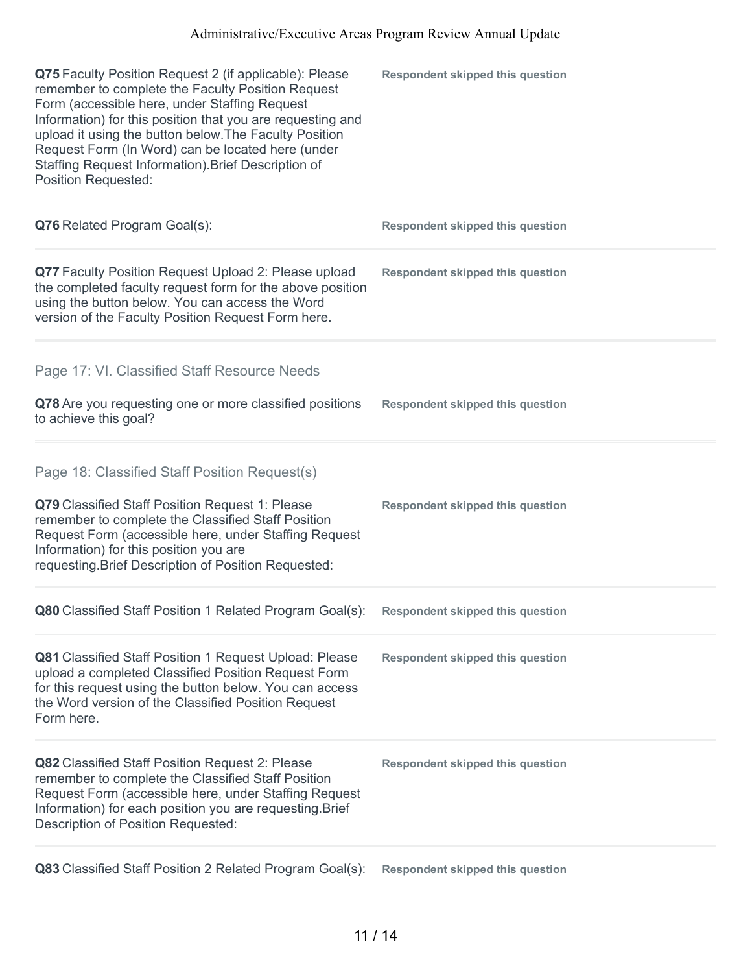| Q75 Faculty Position Request 2 (if applicable): Please<br>remember to complete the Faculty Position Request<br>Form (accessible here, under Staffing Request<br>Information) for this position that you are requesting and<br>upload it using the button below. The Faculty Position<br>Request Form (In Word) can be located here (under<br>Staffing Request Information). Brief Description of<br><b>Position Requested:</b> | <b>Respondent skipped this question</b> |
|--------------------------------------------------------------------------------------------------------------------------------------------------------------------------------------------------------------------------------------------------------------------------------------------------------------------------------------------------------------------------------------------------------------------------------|-----------------------------------------|
| Q76 Related Program Goal(s):                                                                                                                                                                                                                                                                                                                                                                                                   | <b>Respondent skipped this question</b> |
| Q77 Faculty Position Request Upload 2: Please upload<br>the completed faculty request form for the above position<br>using the button below. You can access the Word<br>version of the Faculty Position Request Form here.                                                                                                                                                                                                     | <b>Respondent skipped this question</b> |
| Page 17: VI. Classified Staff Resource Needs                                                                                                                                                                                                                                                                                                                                                                                   |                                         |
| Q78 Are you requesting one or more classified positions<br>to achieve this goal?                                                                                                                                                                                                                                                                                                                                               | <b>Respondent skipped this question</b> |
| Page 18: Classified Staff Position Request(s)<br>Q79 Classified Staff Position Request 1: Please<br>remember to complete the Classified Staff Position<br>Request Form (accessible here, under Staffing Request<br>Information) for this position you are<br>requesting. Brief Description of Position Requested:                                                                                                              | <b>Respondent skipped this question</b> |
| Q80 Classified Staff Position 1 Related Program Goal(s): Respondent skipped this question                                                                                                                                                                                                                                                                                                                                      |                                         |
| Q81 Classified Staff Position 1 Request Upload: Please<br>upload a completed Classified Position Request Form<br>for this request using the button below. You can access<br>the Word version of the Classified Position Request<br>Form here.                                                                                                                                                                                  | <b>Respondent skipped this question</b> |
| Q82 Classified Staff Position Request 2: Please<br>remember to complete the Classified Staff Position<br>Request Form (accessible here, under Staffing Request<br>Information) for each position you are requesting. Brief<br>Description of Position Requested:                                                                                                                                                               | <b>Respondent skipped this question</b> |
| Q83 Classified Staff Position 2 Related Program Goal(s):                                                                                                                                                                                                                                                                                                                                                                       | <b>Respondent skipped this question</b> |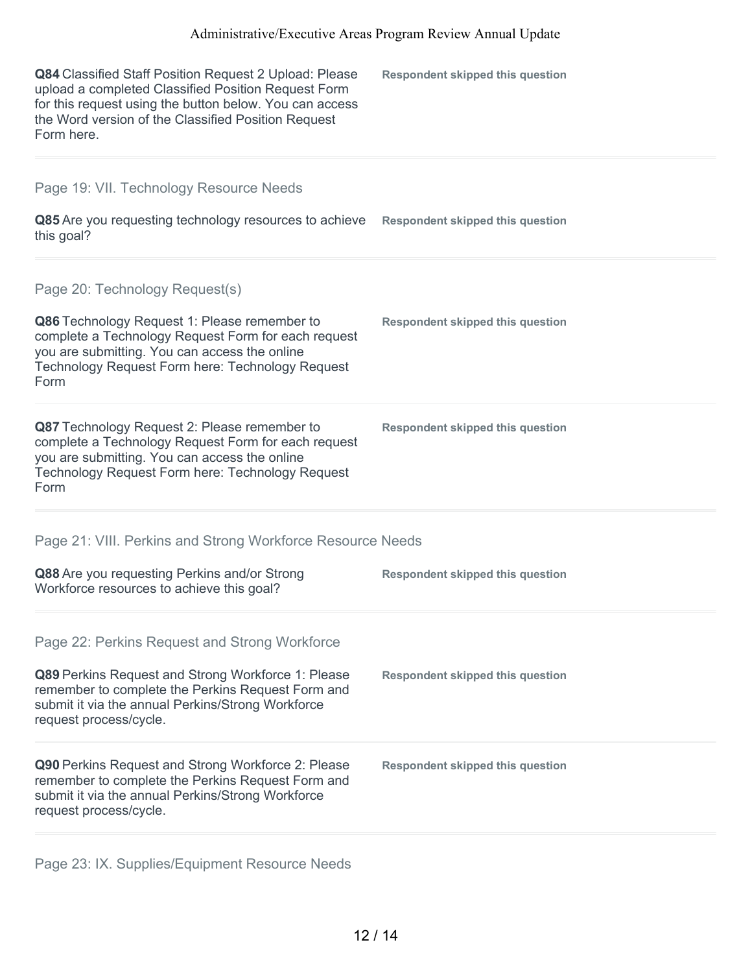| Q84 Classified Staff Position Request 2 Upload: Please<br>upload a completed Classified Position Request Form<br>for this request using the button below. You can access<br>the Word version of the Classified Position Request<br>Form here. | <b>Respondent skipped this question</b> |
|-----------------------------------------------------------------------------------------------------------------------------------------------------------------------------------------------------------------------------------------------|-----------------------------------------|
| Page 19: VII. Technology Resource Needs                                                                                                                                                                                                       |                                         |
| Q85 Are you requesting technology resources to achieve<br>this goal?                                                                                                                                                                          | <b>Respondent skipped this question</b> |
| Page 20: Technology Request(s)                                                                                                                                                                                                                |                                         |
| Q86 Technology Request 1: Please remember to<br>complete a Technology Request Form for each request<br>you are submitting. You can access the online<br>Technology Request Form here: Technology Request<br>Form                              | <b>Respondent skipped this question</b> |
| Q87 Technology Request 2: Please remember to<br>complete a Technology Request Form for each request<br>you are submitting. You can access the online<br>Technology Request Form here: Technology Request<br>Form                              | <b>Respondent skipped this question</b> |
| Page 21: VIII. Perkins and Strong Workforce Resource Needs                                                                                                                                                                                    |                                         |
| Q88 Are you requesting Perkins and/or Strong<br>Workforce resources to achieve this goal?                                                                                                                                                     | <b>Respondent skipped this question</b> |
| Page 22: Perkins Request and Strong Workforce                                                                                                                                                                                                 |                                         |
| Q89 Perkins Request and Strong Workforce 1: Please<br>remember to complete the Perkins Request Form and<br>submit it via the annual Perkins/Strong Workforce<br>request process/cycle.                                                        | <b>Respondent skipped this question</b> |
| Q90 Perkins Request and Strong Workforce 2: Please<br>remember to complete the Perkins Request Form and<br>submit it via the annual Perkins/Strong Workforce<br>request process/cycle.                                                        | <b>Respondent skipped this question</b> |
|                                                                                                                                                                                                                                               |                                         |

Page 23: IX. Supplies/Equipment Resource Needs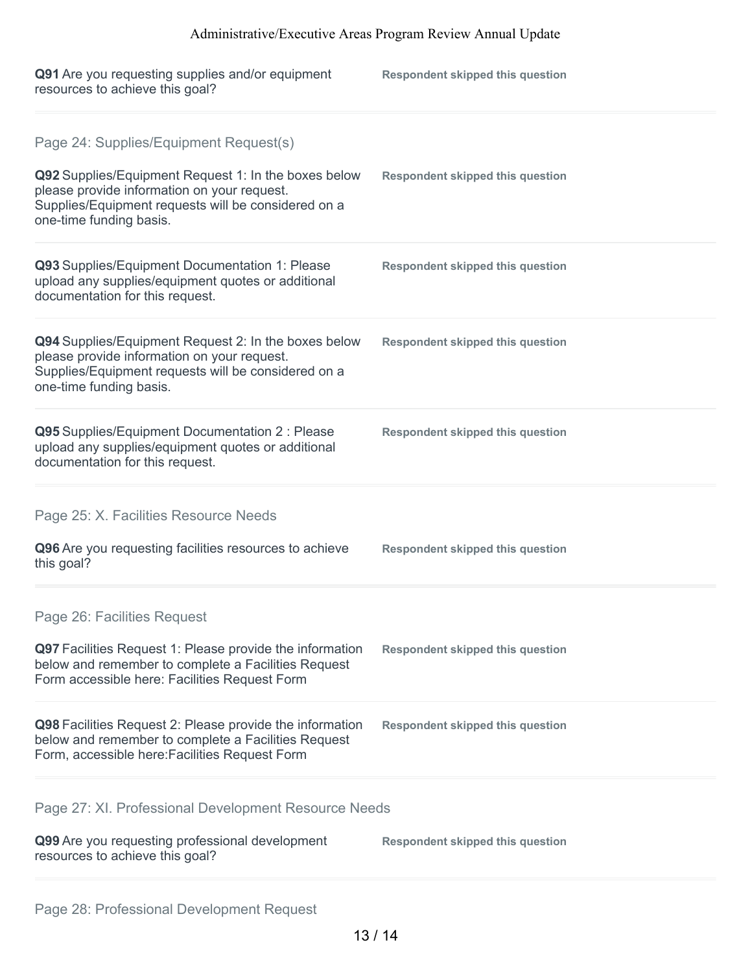| Q91 Are you requesting supplies and/or equipment<br>resources to achieve this goal?                                                                                                                                             | <b>Respondent skipped this question</b> |
|---------------------------------------------------------------------------------------------------------------------------------------------------------------------------------------------------------------------------------|-----------------------------------------|
| Page 24: Supplies/Equipment Request(s)<br>Q92 Supplies/Equipment Request 1: In the boxes below<br>please provide information on your request.<br>Supplies/Equipment requests will be considered on a<br>one-time funding basis. | <b>Respondent skipped this question</b> |
| Q93 Supplies/Equipment Documentation 1: Please<br>upload any supplies/equipment quotes or additional<br>documentation for this request.                                                                                         | <b>Respondent skipped this question</b> |
| Q94 Supplies/Equipment Request 2: In the boxes below<br>please provide information on your request.<br>Supplies/Equipment requests will be considered on a<br>one-time funding basis.                                           | <b>Respondent skipped this question</b> |
| Q95 Supplies/Equipment Documentation 2 : Please<br>upload any supplies/equipment quotes or additional<br>documentation for this request.                                                                                        | <b>Respondent skipped this question</b> |
| Page 25: X. Facilities Resource Needs                                                                                                                                                                                           |                                         |
| Q96 Are you requesting facilities resources to achieve<br>this goal?                                                                                                                                                            | <b>Respondent skipped this question</b> |
| Page 26: Facilities Request                                                                                                                                                                                                     |                                         |
| Q97 Facilities Request 1: Please provide the information<br>below and remember to complete a Facilities Request<br>Form accessible here: Facilities Request Form                                                                | <b>Respondent skipped this question</b> |
| Q98 Facilities Request 2: Please provide the information<br>below and remember to complete a Facilities Request<br>Form, accessible here: Facilities Request Form                                                               | <b>Respondent skipped this question</b> |
| Page 27: XI. Professional Development Resource Needs                                                                                                                                                                            |                                         |
| Q99 Are you requesting professional development<br>resources to achieve this goal?                                                                                                                                              | <b>Respondent skipped this question</b> |
|                                                                                                                                                                                                                                 |                                         |